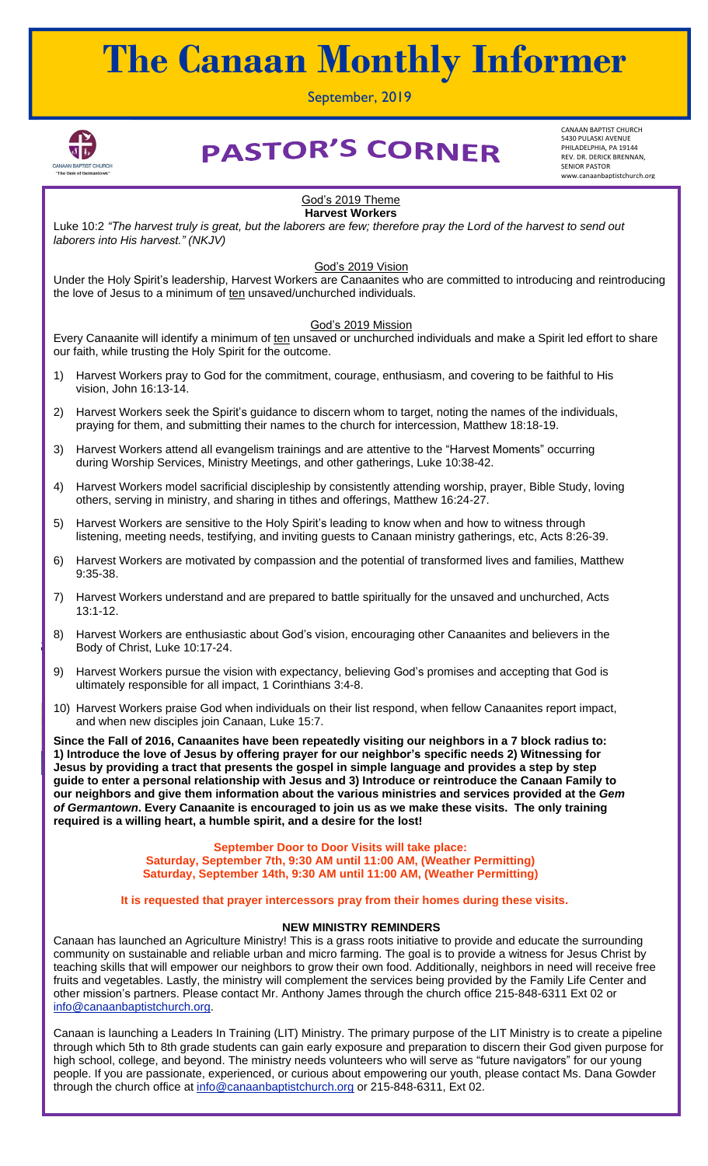# **The Canaan Monthly Informer**

September, 2019



# **PASTOR'S CORNER**

CANAAN BAPTIST CHURCH 5430 PULASKI AVENUE PHILADELPHIA, PA 19144 REV. DR. DERICK BRENNAN, SENIOR PASTOR www.canaanbaptistchurch.org

#### God's 2019 Theme **Harvest Workers**

Luke 10:2 "The harvest truly is great, but the laborers are few; therefore pray the Lord of the harvest to send out *laborers into His harvest." (NKJV)*

God's 2019 Vision

Under the Holy Spirit's leadership, Harvest Workers are Canaanites who are committed to introducing and reintroducing the love of Jesus to a minimum of ten unsaved/unchurched individuals.

## God's 2019 Mission

Every Canaanite will identify a minimum of ten unsaved or unchurched individuals and make a Spirit led effort to share our faith, while trusting the Holy Spirit for the outcome.

- 1) Harvest Workers pray to God for the commitment, courage, enthusiasm, and covering to be faithful to His vision, John 16:13-14.
- 2) Harvest Workers seek the Spirit's guidance to discern whom to target, noting the names of the individuals, praying for them, and submitting their names to the church for intercession, Matthew 18:18-19.
- 3) Harvest Workers attend all evangelism trainings and are attentive to the "Harvest Moments" occurring during Worship Services, Ministry Meetings, and other gatherings, Luke 10:38-42.
- 4) Harvest Workers model sacrificial discipleship by consistently attending worship, prayer, Bible Study, loving others, serving in ministry, and sharing in tithes and offerings, Matthew 16:24-27.
- 5) Harvest Workers are sensitive to the Holy Spirit's leading to know when and how to witness through listening, meeting needs, testifying, and inviting guests to Canaan ministry gatherings, etc, Acts 8:26-39.
- 6) Harvest Workers are motivated by compassion and the potential of transformed lives and families, Matthew 9:35-38.
- 7) Harvest Workers understand and are prepared to battle spiritually for the unsaved and unchurched, Acts 13:1-12.
- 8) Harvest Workers are enthusiastic about God's vision, encouraging other Canaanites and believers in the Body of Christ, Luke 10:17-24.
- 9) Harvest Workers pursue the vision with expectancy, believing God's promises and accepting that God is ultimately responsible for all impact, 1 Corinthians 3:4-8.
- 10) Harvest Workers praise God when individuals on their list respond, when fellow Canaanites report impact, and when new disciples join Canaan, Luke 15:7.

Since the Fall of 2016, Canaanites have been repeatedly visiting our neighbors in a 7 block radius to: **1) Introduce the love of Jesus by offering prayer for our neighbor's specific needs 2) Witnessing for Jesus by providing a tract that presents the gospel in simple language and provides a step by step guide to enter a personal relationship with Jesus and 3) Introduce or reintroduce the Canaan Family to our neighbors and give them information about the various ministries and services provided at the** *Gem of Germantown***. Every Canaanite is encouraged to join us as we make these visits. The only training required is a willing heart, a humble spirit, and a desire for the lost!**

> **September Door to Door Visits will take place: Saturday, September 7th, 9:30 AM until 11:00 AM, (Weather Permitting) Saturday, September 14th, 9:30 AM until 11:00 AM, (Weather Permitting)**

It is requested that prayer intercessors pray from their homes during these visits.

## **NEW MINISTRY REMINDERS**

**Canaan has launched an Agriculture Ministry! This is a grass roots initiative to provide and educate the surrounding** ❖ **Sunday, December 23rd, 11:30 AM until 12:45 PM** community on sustainable and reliable urban and micro farming. The goal is to provide a witness for Jesus Christ by teaching skills that will empower our neighbors to grow their own food. Additionally, neighbors in need will receive free<br>free that will receive the collection of the collection of the contract the contract of the collecti fruits and vegetables. Lastly, the ministry will complement the services being provided by the Family Life Center and other mission's partners. Please contact Mr. Anthony James through the church office 215-848-6311 Ext 02 or [info@canaanbaptistchurch.org.](mailto:info@canaanbaptistchurch.org)

Canaan is launching a Leaders In Training (LIT) Ministry. The primary purpose of the LIT Ministry is to create a pipeline through which 5th to 8th grade students can gain early exposure and preparation to discern their God given purpose for high school, college, and beyond. The ministry needs volunteers who will serve as "future navigators" for our young people. If you are passionate, experienced, or curious about empowering our youth, please contact Ms. Dana Gowder through the church office at [info@canaanbaptistchurch.org](mailto:info@canaanbaptistchurch.org) or 215-848-6311, Ext 02.